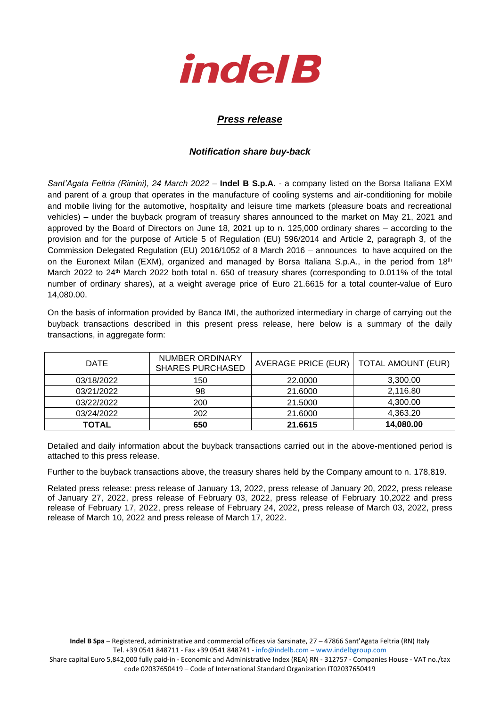

## *Press release*

## *Notification share buy-back*

*Sant'Agata Feltria (Rimini), 24 March 2022* – **Indel B S.p.A.** - a company listed on the Borsa Italiana EXM and parent of a group that operates in the manufacture of cooling systems and air-conditioning for mobile and mobile living for the automotive, hospitality and leisure time markets (pleasure boats and recreational vehicles) – under the buyback program of treasury shares announced to the market on May 21, 2021 and approved by the Board of Directors on June 18, 2021 up to n. 125,000 ordinary shares – according to the provision and for the purpose of Article 5 of Regulation (EU) 596/2014 and Article 2, paragraph 3, of the Commission Delegated Regulation (EU) 2016/1052 of 8 March 2016 – announces to have acquired on the on the Euronext Milan (EXM), organized and managed by Borsa Italiana S.p.A., in the period from 18<sup>th</sup> March 2022 to 24<sup>th</sup> March 2022 both total n. 650 of treasury shares (corresponding to 0.011% of the total number of ordinary shares), at a weight average price of Euro 21.6615 for a total counter-value of Euro 14,080.00.

On the basis of information provided by Banca IMI, the authorized intermediary in charge of carrying out the buyback transactions described in this present press release, here below is a summary of the daily transactions, in aggregate form:

| <b>DATE</b> | <b>NUMBER ORDINARY</b><br><b>SHARES PURCHASED</b> | AVERAGE PRICE (EUR) | <b>TOTAL AMOUNT (EUR)</b> |
|-------------|---------------------------------------------------|---------------------|---------------------------|
| 03/18/2022  | 150                                               | 22,0000             | 3,300.00                  |
| 03/21/2022  | 98                                                | 21.6000             | 2,116.80                  |
| 03/22/2022  | 200                                               | 21.5000             | 4.300.00                  |
| 03/24/2022  | 202                                               | 21.6000             | 4,363.20                  |
| TOTAL       | 650                                               | 21.6615             | 14,080.00                 |

Detailed and daily information about the buyback transactions carried out in the above-mentioned period is attached to this press release.

Further to the buyback transactions above, the treasury shares held by the Company amount to n. 178,819.

Related press release: press release of January 13, 2022, press release of January 20, 2022, press release of January 27, 2022, press release of February 03, 2022, press release of February 10,2022 and press release of February 17, 2022, press release of February 24, 2022, press release of March 03, 2022, press release of March 10, 2022 and press release of March 17, 2022.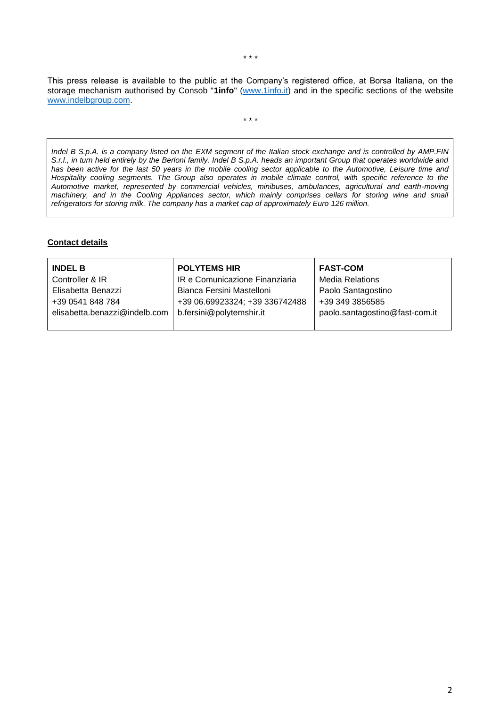This press release is available to the public at the Company's registered office, at Borsa Italiana, on the storage mechanism authorised by Consob "**1info**" [\(www.1info.it\)](file:///C:/Users/ddelietovollaro/AppData/Local/Microsoft/Windows/INetCache/Content.Outlook/T87B94UR/www.1info.it) and in the specific sections of the website [www.indelbgroup.com.](http://www.indelbgroup.com/)

\* \* \*

*Indel B S.p.A. is a company listed on the EXM segment of the Italian stock exchange and is controlled by AMP.FIN S.r.l., in turn held entirely by the Berloni family. Indel B S.p.A. heads an important Group that operates worldwide and has been active for the last 50 years in the mobile cooling sector applicable to the Automotive, Leisure time and*  Hospitality cooling segments. The Group also operates in mobile climate control, with specific reference to the *Automotive market, represented by commercial vehicles, minibuses, ambulances, agricultural and earth-moving*  machinery, and in the Cooling Appliances sector, which mainly comprises cellars for storing wine and small *refrigerators for storing milk. The company has a market cap of approximately Euro 126 million.*

## **Contact details**

| <b>INDEL B</b>                | <b>POLYTEMS HIR</b>            | <b>FAST-COM</b>                |
|-------------------------------|--------------------------------|--------------------------------|
| Controller & IR               | IR e Comunicazione Finanziaria | <b>Media Relations</b>         |
| Elisabetta Benazzi            | Bianca Fersini Mastelloni      | Paolo Santagostino             |
| +39 0541 848 784              | +39 06.69923324; +39 336742488 | +39 349 3856585                |
| elisabetta.benazzi@indelb.com | b.fersini@polytemshir.it       | paolo.santagostino@fast-com.it |
|                               |                                |                                |